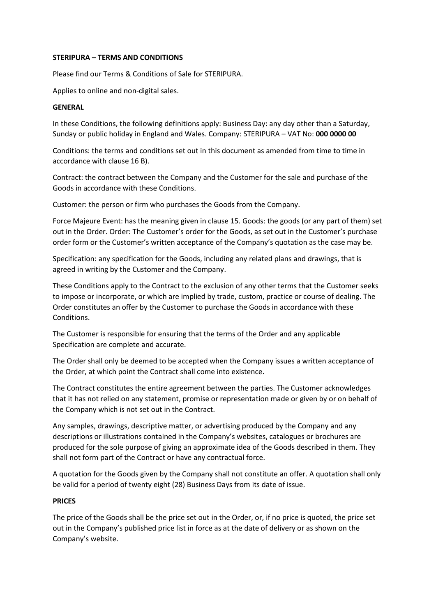#### STERIPURA – TERMS AND CONDITIONS

Please find our Terms & Conditions of Sale for STERIPURA.

Applies to online and non-digital sales.

#### GENERAL

In these Conditions, the following definitions apply: Business Day: any day other than a Saturday, Sunday or public holiday in England and Wales. Company: STERIPURA - VAT No: 000 0000 00

Conditions: the terms and conditions set out in this document as amended from time to time in accordance with clause 16 B).

Contract: the contract between the Company and the Customer for the sale and purchase of the Goods in accordance with these Conditions.

Customer: the person or firm who purchases the Goods from the Company.

Force Majeure Event: has the meaning given in clause 15. Goods: the goods (or any part of them) set out in the Order. Order: The Customer's order for the Goods, as set out in the Customer's purchase order form or the Customer's written acceptance of the Company's quotation as the case may be.

Specification: any specification for the Goods, including any related plans and drawings, that is agreed in writing by the Customer and the Company.

These Conditions apply to the Contract to the exclusion of any other terms that the Customer seeks to impose or incorporate, or which are implied by trade, custom, practice or course of dealing. The Order constitutes an offer by the Customer to purchase the Goods in accordance with these Conditions.

The Customer is responsible for ensuring that the terms of the Order and any applicable Specification are complete and accurate.

The Order shall only be deemed to be accepted when the Company issues a written acceptance of the Order, at which point the Contract shall come into existence.

The Contract constitutes the entire agreement between the parties. The Customer acknowledges that it has not relied on any statement, promise or representation made or given by or on behalf of the Company which is not set out in the Contract.

Any samples, drawings, descriptive matter, or advertising produced by the Company and any descriptions or illustrations contained in the Company's websites, catalogues or brochures are produced for the sole purpose of giving an approximate idea of the Goods described in them. They shall not form part of the Contract or have any contractual force.

A quotation for the Goods given by the Company shall not constitute an offer. A quotation shall only be valid for a period of twenty eight (28) Business Days from its date of issue.

### PRICES

The price of the Goods shall be the price set out in the Order, or, if no price is quoted, the price set out in the Company's published price list in force as at the date of delivery or as shown on the Company's website.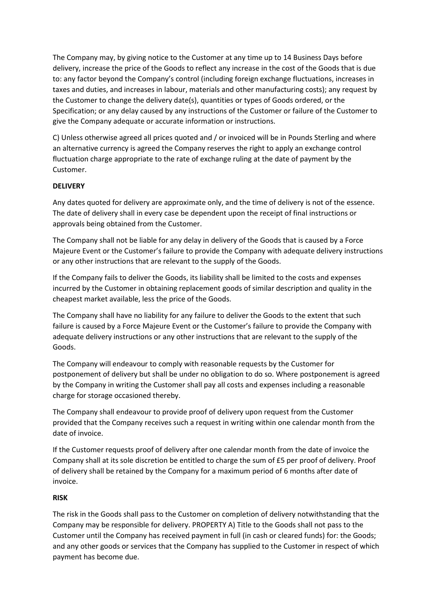The Company may, by giving notice to the Customer at any time up to 14 Business Days before delivery, increase the price of the Goods to reflect any increase in the cost of the Goods that is due to: any factor beyond the Company's control (including foreign exchange fluctuations, increases in taxes and duties, and increases in labour, materials and other manufacturing costs); any request by the Customer to change the delivery date(s), quantities or types of Goods ordered, or the Specification; or any delay caused by any instructions of the Customer or failure of the Customer to give the Company adequate or accurate information or instructions.

C) Unless otherwise agreed all prices quoted and / or invoiced will be in Pounds Sterling and where an alternative currency is agreed the Company reserves the right to apply an exchange control fluctuation charge appropriate to the rate of exchange ruling at the date of payment by the Customer.

# **DELIVERY**

Any dates quoted for delivery are approximate only, and the time of delivery is not of the essence. The date of delivery shall in every case be dependent upon the receipt of final instructions or approvals being obtained from the Customer.

The Company shall not be liable for any delay in delivery of the Goods that is caused by a Force Majeure Event or the Customer's failure to provide the Company with adequate delivery instructions or any other instructions that are relevant to the supply of the Goods.

If the Company fails to deliver the Goods, its liability shall be limited to the costs and expenses incurred by the Customer in obtaining replacement goods of similar description and quality in the cheapest market available, less the price of the Goods.

The Company shall have no liability for any failure to deliver the Goods to the extent that such failure is caused by a Force Majeure Event or the Customer's failure to provide the Company with adequate delivery instructions or any other instructions that are relevant to the supply of the Goods.

The Company will endeavour to comply with reasonable requests by the Customer for postponement of delivery but shall be under no obligation to do so. Where postponement is agreed by the Company in writing the Customer shall pay all costs and expenses including a reasonable charge for storage occasioned thereby.

The Company shall endeavour to provide proof of delivery upon request from the Customer provided that the Company receives such a request in writing within one calendar month from the date of invoice.

If the Customer requests proof of delivery after one calendar month from the date of invoice the Company shall at its sole discretion be entitled to charge the sum of £5 per proof of delivery. Proof of delivery shall be retained by the Company for a maximum period of 6 months after date of invoice.

### RISK

The risk in the Goods shall pass to the Customer on completion of delivery notwithstanding that the Company may be responsible for delivery. PROPERTY A) Title to the Goods shall not pass to the Customer until the Company has received payment in full (in cash or cleared funds) for: the Goods; and any other goods or services that the Company has supplied to the Customer in respect of which payment has become due.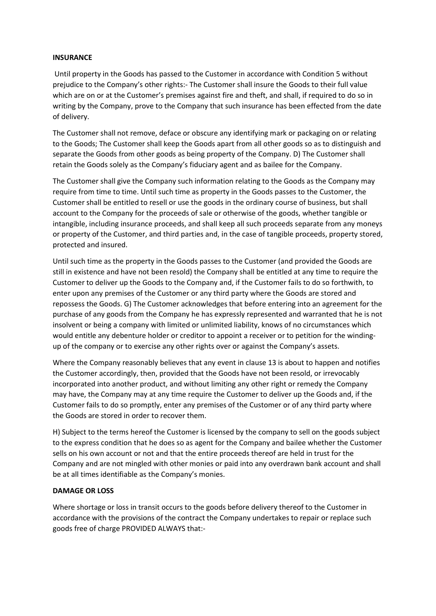#### **INSURANCE**

 Until property in the Goods has passed to the Customer in accordance with Condition 5 without prejudice to the Company's other rights:- The Customer shall insure the Goods to their full value which are on or at the Customer's premises against fire and theft, and shall, if required to do so in writing by the Company, prove to the Company that such insurance has been effected from the date of delivery.

The Customer shall not remove, deface or obscure any identifying mark or packaging on or relating to the Goods; The Customer shall keep the Goods apart from all other goods so as to distinguish and separate the Goods from other goods as being property of the Company. D) The Customer shall retain the Goods solely as the Company's fiduciary agent and as bailee for the Company.

The Customer shall give the Company such information relating to the Goods as the Company may require from time to time. Until such time as property in the Goods passes to the Customer, the Customer shall be entitled to resell or use the goods in the ordinary course of business, but shall account to the Company for the proceeds of sale or otherwise of the goods, whether tangible or intangible, including insurance proceeds, and shall keep all such proceeds separate from any moneys or property of the Customer, and third parties and, in the case of tangible proceeds, property stored, protected and insured.

Until such time as the property in the Goods passes to the Customer (and provided the Goods are still in existence and have not been resold) the Company shall be entitled at any time to require the Customer to deliver up the Goods to the Company and, if the Customer fails to do so forthwith, to enter upon any premises of the Customer or any third party where the Goods are stored and repossess the Goods. G) The Customer acknowledges that before entering into an agreement for the purchase of any goods from the Company he has expressly represented and warranted that he is not insolvent or being a company with limited or unlimited liability, knows of no circumstances which would entitle any debenture holder or creditor to appoint a receiver or to petition for the windingup of the company or to exercise any other rights over or against the Company's assets.

Where the Company reasonably believes that any event in clause 13 is about to happen and notifies the Customer accordingly, then, provided that the Goods have not been resold, or irrevocably incorporated into another product, and without limiting any other right or remedy the Company may have, the Company may at any time require the Customer to deliver up the Goods and, if the Customer fails to do so promptly, enter any premises of the Customer or of any third party where the Goods are stored in order to recover them.

H) Subject to the terms hereof the Customer is licensed by the company to sell on the goods subject to the express condition that he does so as agent for the Company and bailee whether the Customer sells on his own account or not and that the entire proceeds thereof are held in trust for the Company and are not mingled with other monies or paid into any overdrawn bank account and shall be at all times identifiable as the Company's monies.

#### DAMAGE OR LOSS

Where shortage or loss in transit occurs to the goods before delivery thereof to the Customer in accordance with the provisions of the contract the Company undertakes to repair or replace such goods free of charge PROVIDED ALWAYS that:-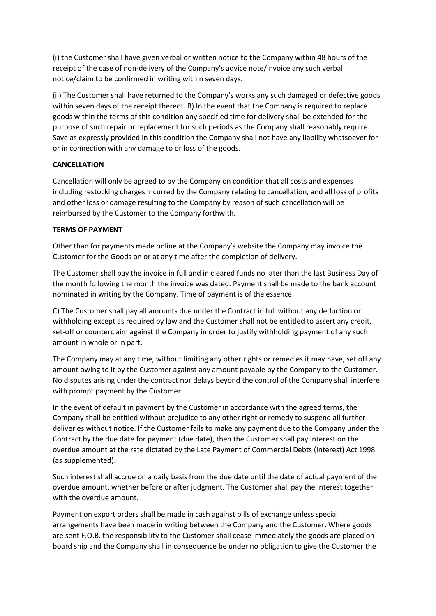(i) the Customer shall have given verbal or written notice to the Company within 48 hours of the receipt of the case of non-delivery of the Company's advice note/invoice any such verbal notice/claim to be confirmed in writing within seven days.

(ii) The Customer shall have returned to the Company's works any such damaged or defective goods within seven days of the receipt thereof. B) In the event that the Company is required to replace goods within the terms of this condition any specified time for delivery shall be extended for the purpose of such repair or replacement for such periods as the Company shall reasonably require. Save as expressly provided in this condition the Company shall not have any liability whatsoever for or in connection with any damage to or loss of the goods.

# CANCELLATION

Cancellation will only be agreed to by the Company on condition that all costs and expenses including restocking charges incurred by the Company relating to cancellation, and all loss of profits and other loss or damage resulting to the Company by reason of such cancellation will be reimbursed by the Customer to the Company forthwith.

### TERMS OF PAYMENT

Other than for payments made online at the Company's website the Company may invoice the Customer for the Goods on or at any time after the completion of delivery.

The Customer shall pay the invoice in full and in cleared funds no later than the last Business Day of the month following the month the invoice was dated. Payment shall be made to the bank account nominated in writing by the Company. Time of payment is of the essence.

C) The Customer shall pay all amounts due under the Contract in full without any deduction or withholding except as required by law and the Customer shall not be entitled to assert any credit, set-off or counterclaim against the Company in order to justify withholding payment of any such amount in whole or in part.

The Company may at any time, without limiting any other rights or remedies it may have, set off any amount owing to it by the Customer against any amount payable by the Company to the Customer. No disputes arising under the contract nor delays beyond the control of the Company shall interfere with prompt payment by the Customer.

In the event of default in payment by the Customer in accordance with the agreed terms, the Company shall be entitled without prejudice to any other right or remedy to suspend all further deliveries without notice. If the Customer fails to make any payment due to the Company under the Contract by the due date for payment (due date), then the Customer shall pay interest on the overdue amount at the rate dictated by the Late Payment of Commercial Debts (Interest) Act 1998 (as supplemented).

Such interest shall accrue on a daily basis from the due date until the date of actual payment of the overdue amount, whether before or after judgment. The Customer shall pay the interest together with the overdue amount.

Payment on export orders shall be made in cash against bills of exchange unless special arrangements have been made in writing between the Company and the Customer. Where goods are sent F.O.B. the responsibility to the Customer shall cease immediately the goods are placed on board ship and the Company shall in consequence be under no obligation to give the Customer the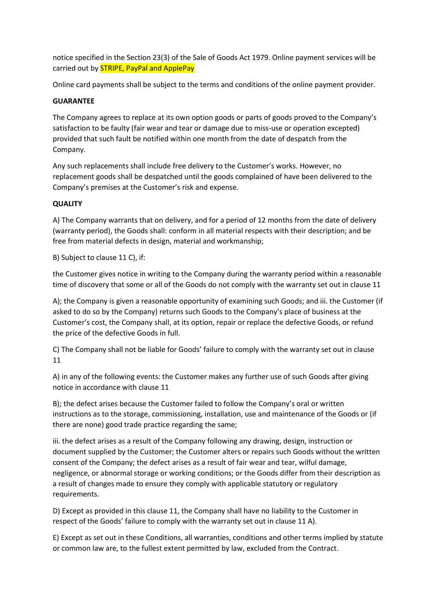notice specified in the Section 23(3) of the Sale of Goods Act 1979. Online payment services will be carried out by **STRIPE, PayPal and ApplePay** 

Online card payments shall be subject to the terms and conditions of the online payment provider.

# GUARANTEE

The Company agrees to replace at its own option goods or parts of goods proved to the Company's satisfaction to be faulty (fair wear and tear or damage due to miss-use or operation excepted) provided that such fault be notified within one month from the date of despatch from the Company.

Any such replacements shall include free delivery to the Customer's works. However, no replacement goods shall be despatched until the goods complained of have been delivered to the Company's premises at the Customer's risk and expense.

# **QUALITY**

A) The Company warrants that on delivery, and for a period of 12 months from the date of delivery (warranty period), the Goods shall: conform in all material respects with their description; and be free from material defects in design, material and workmanship;

B) Subject to clause 11 C), if:

the Customer gives notice in writing to the Company during the warranty period within a reasonable time of discovery that some or all of the Goods do not comply with the warranty set out in clause 11

A); the Company is given a reasonable opportunity of examining such Goods; and iii. the Customer (if asked to do so by the Company) returns such Goods to the Company's place of business at the Customer's cost, the Company shall, at its option, repair or replace the defective Goods, or refund the price of the defective Goods in full.

C) The Company shall not be liable for Goods' failure to comply with the warranty set out in clause 11

A) in any of the following events: the Customer makes any further use of such Goods after giving notice in accordance with clause 11

B); the defect arises because the Customer failed to follow the Company's oral or written instructions as to the storage, commissioning, installation, use and maintenance of the Goods or (if there are none) good trade practice regarding the same;

iii. the defect arises as a result of the Company following any drawing, design, instruction or document supplied by the Customer; the Customer alters or repairs such Goods without the written consent of the Company; the defect arises as a result of fair wear and tear, wilful damage, negligence, or abnormal storage or working conditions; or the Goods differ from their description as a result of changes made to ensure they comply with applicable statutory or regulatory requirements.

D) Except as provided in this clause 11, the Company shall have no liability to the Customer in respect of the Goods' failure to comply with the warranty set out in clause 11 A).

E) Except as set out in these Conditions, all warranties, conditions and other terms implied by statute or common law are, to the fullest extent permitted by law, excluded from the Contract.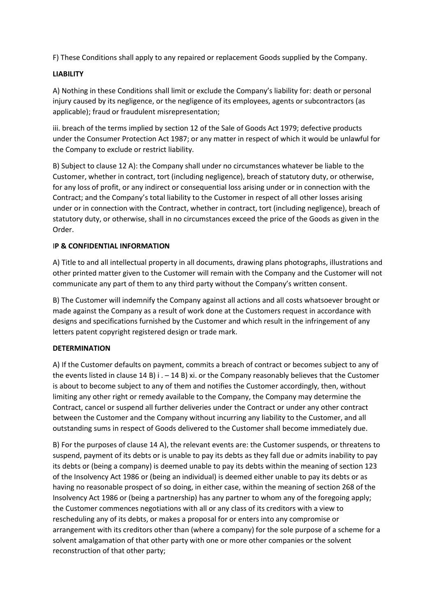F) These Conditions shall apply to any repaired or replacement Goods supplied by the Company.

# LIABILITY

A) Nothing in these Conditions shall limit or exclude the Company's liability for: death or personal injury caused by its negligence, or the negligence of its employees, agents or subcontractors (as applicable); fraud or fraudulent misrepresentation;

iii. breach of the terms implied by section 12 of the Sale of Goods Act 1979; defective products under the Consumer Protection Act 1987; or any matter in respect of which it would be unlawful for the Company to exclude or restrict liability.

B) Subject to clause 12 A): the Company shall under no circumstances whatever be liable to the Customer, whether in contract, tort (including negligence), breach of statutory duty, or otherwise, for any loss of profit, or any indirect or consequential loss arising under or in connection with the Contract; and the Company's total liability to the Customer in respect of all other losses arising under or in connection with the Contract, whether in contract, tort (including negligence), breach of statutory duty, or otherwise, shall in no circumstances exceed the price of the Goods as given in the Order.

# IP & CONFIDENTIAL INFORMATION

A) Title to and all intellectual property in all documents, drawing plans photographs, illustrations and other printed matter given to the Customer will remain with the Company and the Customer will not communicate any part of them to any third party without the Company's written consent.

B) The Customer will indemnify the Company against all actions and all costs whatsoever brought or made against the Company as a result of work done at the Customers request in accordance with designs and specifications furnished by the Customer and which result in the infringement of any letters patent copyright registered design or trade mark.

# DETERMINATION

A) If the Customer defaults on payment, commits a breach of contract or becomes subject to any of the events listed in clause 14 B) i .  $-$  14 B) xi. or the Company reasonably believes that the Customer is about to become subject to any of them and notifies the Customer accordingly, then, without limiting any other right or remedy available to the Company, the Company may determine the Contract, cancel or suspend all further deliveries under the Contract or under any other contract between the Customer and the Company without incurring any liability to the Customer, and all outstanding sums in respect of Goods delivered to the Customer shall become immediately due.

B) For the purposes of clause 14 A), the relevant events are: the Customer suspends, or threatens to suspend, payment of its debts or is unable to pay its debts as they fall due or admits inability to pay its debts or (being a company) is deemed unable to pay its debts within the meaning of section 123 of the Insolvency Act 1986 or (being an individual) is deemed either unable to pay its debts or as having no reasonable prospect of so doing, in either case, within the meaning of section 268 of the Insolvency Act 1986 or (being a partnership) has any partner to whom any of the foregoing apply; the Customer commences negotiations with all or any class of its creditors with a view to rescheduling any of its debts, or makes a proposal for or enters into any compromise or arrangement with its creditors other than (where a company) for the sole purpose of a scheme for a solvent amalgamation of that other party with one or more other companies or the solvent reconstruction of that other party;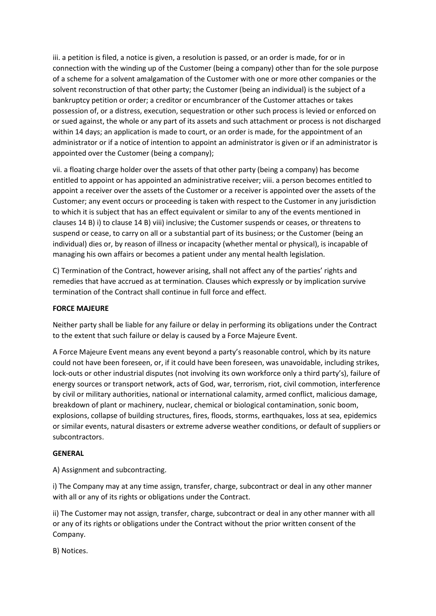iii. a petition is filed, a notice is given, a resolution is passed, or an order is made, for or in connection with the winding up of the Customer (being a company) other than for the sole purpose of a scheme for a solvent amalgamation of the Customer with one or more other companies or the solvent reconstruction of that other party; the Customer (being an individual) is the subject of a bankruptcy petition or order; a creditor or encumbrancer of the Customer attaches or takes possession of, or a distress, execution, sequestration or other such process is levied or enforced on or sued against, the whole or any part of its assets and such attachment or process is not discharged within 14 days; an application is made to court, or an order is made, for the appointment of an administrator or if a notice of intention to appoint an administrator is given or if an administrator is appointed over the Customer (being a company);

vii. a floating charge holder over the assets of that other party (being a company) has become entitled to appoint or has appointed an administrative receiver; viii. a person becomes entitled to appoint a receiver over the assets of the Customer or a receiver is appointed over the assets of the Customer; any event occurs or proceeding is taken with respect to the Customer in any jurisdiction to which it is subject that has an effect equivalent or similar to any of the events mentioned in clauses 14 B) i) to clause 14 B) viii) inclusive; the Customer suspends or ceases, or threatens to suspend or cease, to carry on all or a substantial part of its business; or the Customer (being an individual) dies or, by reason of illness or incapacity (whether mental or physical), is incapable of managing his own affairs or becomes a patient under any mental health legislation.

C) Termination of the Contract, however arising, shall not affect any of the parties' rights and remedies that have accrued as at termination. Clauses which expressly or by implication survive termination of the Contract shall continue in full force and effect.

### FORCE MAJEURE

Neither party shall be liable for any failure or delay in performing its obligations under the Contract to the extent that such failure or delay is caused by a Force Majeure Event.

A Force Majeure Event means any event beyond a party's reasonable control, which by its nature could not have been foreseen, or, if it could have been foreseen, was unavoidable, including strikes, lock-outs or other industrial disputes (not involving its own workforce only a third party's), failure of energy sources or transport network, acts of God, war, terrorism, riot, civil commotion, interference by civil or military authorities, national or international calamity, armed conflict, malicious damage, breakdown of plant or machinery, nuclear, chemical or biological contamination, sonic boom, explosions, collapse of building structures, fires, floods, storms, earthquakes, loss at sea, epidemics or similar events, natural disasters or extreme adverse weather conditions, or default of suppliers or subcontractors.

### GENERAL

A) Assignment and subcontracting.

i) The Company may at any time assign, transfer, charge, subcontract or deal in any other manner with all or any of its rights or obligations under the Contract.

ii) The Customer may not assign, transfer, charge, subcontract or deal in any other manner with all or any of its rights or obligations under the Contract without the prior written consent of the Company.

B) Notices.